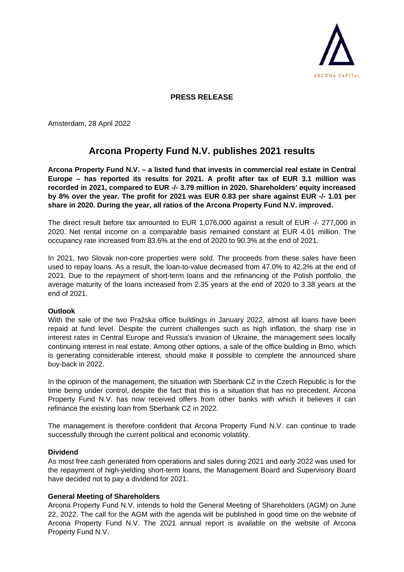

## **PRESS RELEASE**

Amsterdam, 28 April 2022

# **Arcona Property Fund N.V. publishes 2021 results**

**Arcona Property Fund N.V. – a listed fund that invests in commercial real estate in Central Europe – has reported its results for 2021. A profit after tax of EUR 3.1 million was recorded in 2021, compared to EUR -/- 3.79 million in 2020. Shareholders' equity increased by 8% over the year. The profit for 2021 was EUR 0.83 per share against EUR -/- 1.01 per share in 2020. During the year, all ratios of the Arcona Property Fund N.V. improved.**

The direct result before tax amounted to EUR 1,076,000 against a result of EUR -/- 277,000 in 2020. Net rental income on a comparable basis remained constant at EUR 4.01 million. The occupancy rate increased from 83.6% at the end of 2020 to 90.3% at the end of 2021.

In 2021, two Slovak non-core properties were sold. The proceeds from these sales have been used to repay loans. As a result, the loan-to-value decreased from 47.0% to 42.2% at the end of 2021. Due to the repayment of short-term loans and the refinancing of the Polish portfolio, the average maturity of the loans increased from 2.35 years at the end of 2020 to 3.38 years at the end of 2021.

#### **Outlook**

With the sale of the two Pražska office buildings in January 2022, almost all loans have been repaid at fund level. Despite the current challenges such as high inflation, the sharp rise in interest rates in Central Europe and Russia's invasion of Ukraine, the management sees locally continuing interest in real estate. Among other options, a sale of the office building in Brno, which is generating considerable interest, should make it possible to complete the announced share buy-back in 2022.

In the opinion of the management, the situation with Sberbank CZ in the Czech Republic is for the time being under control, despite the fact that this is a situation that has no precedent. Arcona Property Fund N.V. has now received offers from other banks with which it believes it can refinance the existing loan from Sberbank CZ in 2022.

The management is therefore confident that Arcona Property Fund N.V. can continue to trade successfully through the current political and economic volatility.

#### **Dividend**

As most free cash generated from operations and sales during 2021 and early 2022 was used for the repayment of high-yielding short-term loans, the Management Board and Supervisory Board have decided not to pay a dividend for 2021.

#### **General Meeting of Shareholders**

Arcona Property Fund N.V. intends to hold the General Meeting of Shareholders (AGM) on June 22, 2022. The call for the AGM with the agenda will be published in good time on the website of Arcona Property Fund N.V. The 2021 annual report is available on the website of Arcona Property Fund N.V.